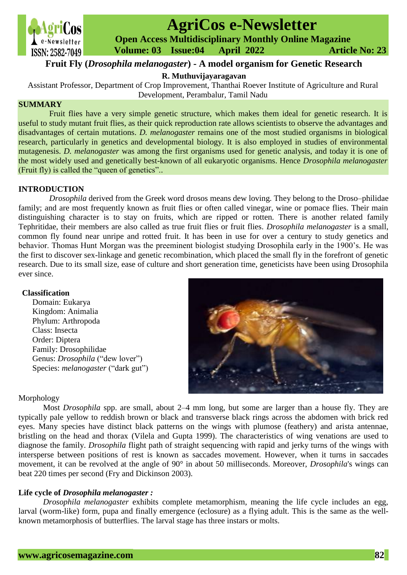

# **AgriCos e-Newsletter**

 **Open Access Multidisciplinary Monthly Online Magazine**

 **ISSN: 2582-7049 Volume: 03 Issue:04 April 2022 Article No: 23** 

# **Fruit Fly (***Drosophila melanogaster***) - A model organism for Genetic Research**

**R. Muthuvijayaragavan**

Assistant Professor, Department of Crop Improvement, Thanthai Roever Institute of Agriculture and Rural Development, Perambalur, Tamil Nadu

# **SUMMARY**

Fruit flies have a very simple genetic structure, which makes them ideal for genetic research. It is useful to study mutant fruit flies, as their quick reproduction rate allows scientists to observe the advantages and disadvantages of certain mutations. *D. melanogaster* remains one of the most studied organisms in biological research, particularly in genetics and developmental biology. It is also employed in studies of environmental mutagenesis. *D. melanogaster* was among the first organisms used for genetic analysis, and today it is one of the most widely used and genetically best-known of all eukaryotic organisms. Hence *Drosophila melanogaster* (Fruit fly) is called the "queen of genetics"..

# **INTRODUCTION**

*Drosophila* derived from the Greek word drosos means dew loving. They belong to the Droso–philidae family; and are most frequently known as fruit flies or often called vinegar, wine or pomace flies. Their main distinguishing character is to stay on fruits, which are ripped or rotten. There is another related family Tephritidae, their members are also called as true fruit flies or fruit flies. *Drosophila melanogaster* is a small, common fly found near unripe and rotted fruit. It has been in use for over a century to study genetics and behavior. Thomas Hunt Morgan was the preeminent biologist studying Drosophila early in the 1900's. He was the first to discover sex-linkage and genetic recombination, which placed the small fly in the forefront of genetic research. Due to its small size, ease of culture and short generation time, geneticists have been using Drosophila ever since.

# **Classification**

 Domain: Eukarya Kingdom: Animalia Phylum: Arthropoda Class: Insecta Order: Diptera Family: Drosophilidae Genus: *Drosophila* ("dew lover") Species: *melanogaster* ("dark gut")



# Morphology

Most *Drosophila* spp. are small, about 2–4 mm long, but some are larger than a house fly. They are typically pale yellow to reddish brown or black and transverse black rings across the abdomen with brick red eyes. Many species have distinct black patterns on the wings with plumose (feathery) and arista antennae, bristling on the head and thorax (Vilela and Gupta 1999). The characteristics of wing venations are used to diagnose the family. *Drosophila* flight path of straight sequencing with rapid and jerky turns of the wings with intersperse between positions of rest is known as saccades movement. However, when it turns in saccades movement, it can be revolved at the angle of 90° in about 50 milliseconds. Moreover, *Drosophila*'s wings can beat 220 times per second (Fry and Dickinson 2003).

# **Life cycle of** *Drosophila melanogaster :*

*Drosophila melanogaster* exhibits complete metamorphism, meaning the life cycle includes an egg, larval (worm-like) form, pupa and finally emergence (eclosure) as a flying adult. This is the same as the wellknown metamorphosis of butterflies. The larval stage has three instars or molts.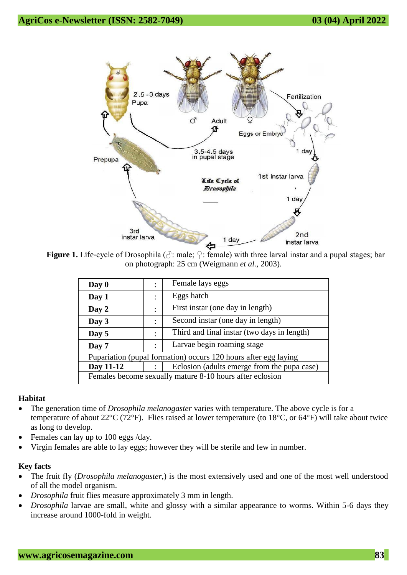

**Figure 1.** Life-cycle of Drosophila ( $\Diamond$ : male;  $\Diamond$ : female) with three larval instar and a pupal stages; bar on photograph: 25 cm (Weigmann *et al.,* 2003).

| Day 0                                                           |                | Female lays eggs                            |  |
|-----------------------------------------------------------------|----------------|---------------------------------------------|--|
| Day 1                                                           | ٠              | Eggs hatch                                  |  |
| Day 2                                                           | ٠              | First instar (one day in length)            |  |
| Day 3                                                           | ٠              | Second instar (one day in length)           |  |
| Day 5                                                           | $\ddot{\cdot}$ | Third and final instar (two days in length) |  |
| Day 7                                                           | ٠              | Larvae begin roaming stage                  |  |
| Pupariation (pupal formation) occurs 120 hours after egg laying |                |                                             |  |
| Day 11-12                                                       |                | Eclosion (adults emerge from the pupa case) |  |
| Females become sexually mature 8-10 hours after eclosion        |                |                                             |  |

# **Habitat**

- The generation time of *Drosophila melanogaster* varies with temperature. The above cycle is for a temperature of about 22°C (72°F). Flies raised at lower temperature (to 18°C, or 64°F) will take about twice as long to develop.
- Females can lay up to 100 eggs /day.
- Virgin females are able to lay eggs; however they will be sterile and few in number.

# **Key facts**

- The fruit fly (*Drosophila melanogaster*,) is the most extensively used and one of the most well understood of all the model organism.
- *Drosophila* fruit flies measure approximately 3 mm in length.
- *Drosophila* larvae are small, white and glossy with a similar appearance to worms. Within 5-6 days they increase around 1000-fold in weight.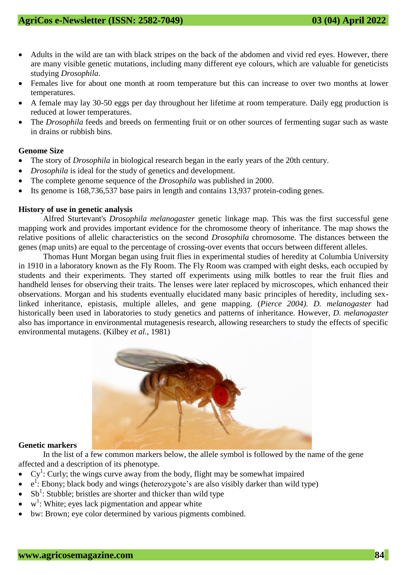- Adults in the wild are tan with black stripes on the back of the abdomen and vivid red eyes. However, there are many visible genetic [mutations,](javascript:void(%22Click%20to%20expand%20this%20glossary%20term%22)) including many different eye colours, which are valuable for geneticists studying *Drosophila*.
- Females live for about one month at room temperature but this can increase to over two months at lower temperatures.
- A female may lay 30-50 eggs per day throughout her lifetime at room temperature. Daily egg production is reduced at lower temperatures.
- The *Drosophila* feeds and breeds on fermenting fruit or on other sources of fermenting sugar such as waste in drains or rubbish bins.

# **Genome Size**

- The story of *Drosophila* in biological research began in the early years of the 20th century.
- *Drosophila* is ideal for the study of [genetics](javascript:void(%22Click%20to%20expand%20this%20glossary%20term%22)) and development.
- The complete [genome](javascript:void(%22Click%20to%20expand%20this%20glossary%20term%22)) sequence of the *Drosophila* was published in 2000.
- Its genome is 168,736,537 [base](javascript:void(%22Click%20to%20expand%20this%20glossary%20term%22)) pairs in length and contains 13,937 protein-coding genes.

#### **History of use in genetic analysis**

[Alfred Sturtevant's](https://en.wikipedia.org/wiki/Alfred_Sturtevant) *Drosophila melanogaster* [genetic linkage](https://en.wikipedia.org/wiki/Genetic_linkage) map. This was the first successful [gene](https://en.wikipedia.org/wiki/Gene_mapping)  [mapping](https://en.wikipedia.org/wiki/Gene_mapping) work and provides important evidence for the [chromosome theory of inheritance.](https://en.wikipedia.org/wiki/Chromosome_theory_of_inheritance) The map shows the relative positions of [allelic](https://en.wikipedia.org/wiki/Allele) characteristics on the second *Drosophila* chromosome. The distances between the genes (map units) are equal to the percentage of [crossing-over](https://en.wikipedia.org/wiki/Chromosomal_crossover) events that occurs between different alleles.

[Thomas Hunt Morgan](https://en.wikipedia.org/wiki/Thomas_Hunt_Morgan) began using fruit flies in experimental studies of heredity at [Columbia University](https://en.wikipedia.org/wiki/Columbia_University) in 1910 in a laboratory known as the Fly Room. The Fly Room was cramped with eight desks, each occupied by students and their experiments. They started off experiments using milk bottles to rear the fruit flies and handheld lenses for observing their traits. The lenses were later replaced by microscopes, which enhanced their observations. Morgan and his students eventually elucidated many basic principles of heredity, including sexlinked inheritance, [epistasis,](https://en.wikipedia.org/wiki/Epistasis) multiple alleles, and [gene mapping.](https://en.wikipedia.org/wiki/Gene_mapping) (*Pierce 2004). D. melanogaster* had historically been used in laboratories to study genetics and patterns of inheritance. However, *D. melanogaster* also has importance in environmental mutagenesis research, allowing researchers to study the effects of specific environmental mutagens. (Kilbey *et al.,* 1981)



#### **Genetic markers**

In the list of a few common markers below, the allele symbol is followed by the name of the gene affected and a description of its phenotype.

- $Cy<sup>1</sup>$ : Curly; the wings curve away from the body, flight may be somewhat impaired
- $\bullet$  e<sup>1</sup>: Ebony; black body and wings (heterozygote's are also visibly darker than wild type)
- Sb<sup>1</sup>: Stubble; bristles are shorter and thicker than wild type
- $\bullet$  w<sup>1</sup>: [White;](https://en.wikipedia.org/wiki/White_%28mutation%29) eyes lack [pigmentation](https://en.wikipedia.org/wiki/Visual_pigment) and appear white
- bw: Brown; eye color determined by various pigments combined.